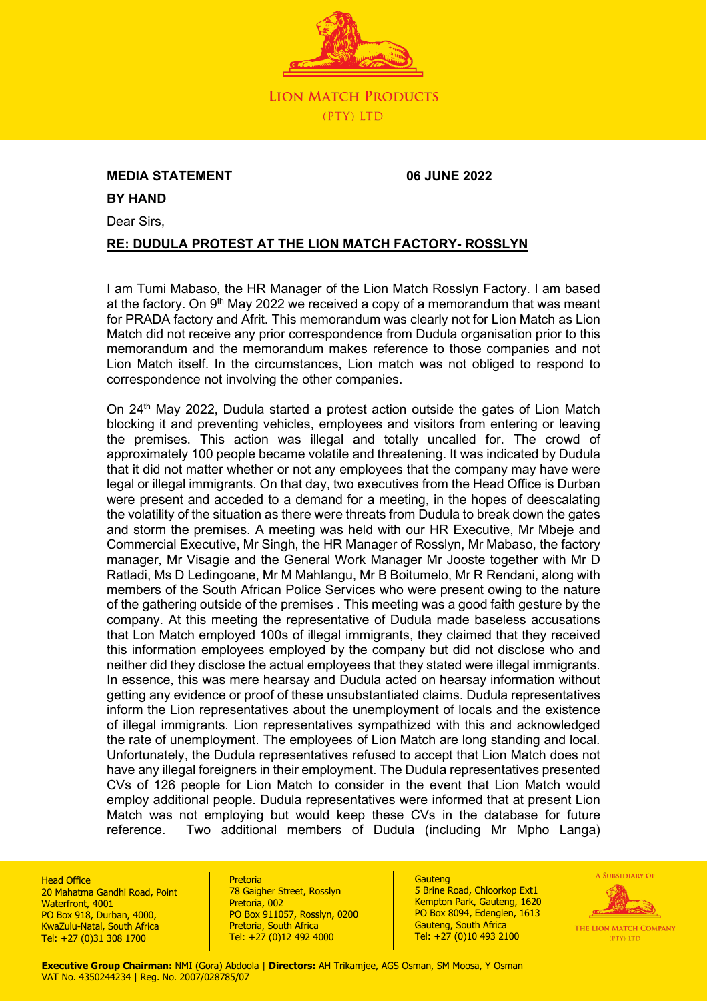

## **MEDIA STATEMENT 06 JUNE 2022**

**BY HAND**

Dear Sirs,

## **RE: DUDULA PROTEST AT THE LION MATCH FACTORY- ROSSLYN**

I am Tumi Mabaso, the HR Manager of the Lion Match Rosslyn Factory. I am based at the factory. On 9<sup>th</sup> May 2022 we received a copy of a memorandum that was meant for PRADA factory and Afrit. This memorandum was clearly not for Lion Match as Lion Match did not receive any prior correspondence from Dudula organisation prior to this memorandum and the memorandum makes reference to those companies and not Lion Match itself. In the circumstances, Lion match was not obliged to respond to correspondence not involving the other companies.

On 24<sup>th</sup> May 2022, Dudula started a protest action outside the gates of Lion Match blocking it and preventing vehicles, employees and visitors from entering or leaving the premises. This action was illegal and totally uncalled for. The crowd of approximately 100 people became volatile and threatening. It was indicated by Dudula that it did not matter whether or not any employees that the company may have were legal or illegal immigrants. On that day, two executives from the Head Office is Durban were present and acceded to a demand for a meeting, in the hopes of deescalating the volatility of the situation as there were threats from Dudula to break down the gates and storm the premises. A meeting was held with our HR Executive, Mr Mbeje and Commercial Executive, Mr Singh, the HR Manager of Rosslyn, Mr Mabaso, the factory manager, Mr Visagie and the General Work Manager Mr Jooste together with Mr D Ratladi, Ms D Ledingoane, Mr M Mahlangu, Mr B Boitumelo, Mr R Rendani, along with members of the South African Police Services who were present owing to the nature of the gathering outside of the premises . This meeting was a good faith gesture by the company. At this meeting the representative of Dudula made baseless accusations that Lon Match employed 100s of illegal immigrants, they claimed that they received this information employees employed by the company but did not disclose who and neither did they disclose the actual employees that they stated were illegal immigrants. In essence, this was mere hearsay and Dudula acted on hearsay information without getting any evidence or proof of these unsubstantiated claims. Dudula representatives inform the Lion representatives about the unemployment of locals and the existence of illegal immigrants. Lion representatives sympathized with this and acknowledged the rate of unemployment. The employees of Lion Match are long standing and local. Unfortunately, the Dudula representatives refused to accept that Lion Match does not have any illegal foreigners in their employment. The Dudula representatives presented CVs of 126 people for Lion Match to consider in the event that Lion Match would employ additional people. Dudula representatives were informed that at present Lion Match was not employing but would keep these CVs in the database for future reference. Two additional members of Dudula (including Mr Mpho Langa)

**Head Office** 20 Mahatma Gandhi Road, Point Waterfront, 4001 PO Box 918, Durban, 4000, KwaZulu-Natal, South Africa Tel: +27 (0)31 308 1700

#### Pretoria

78 Gaigher Street, Rosslyn Pretoria, 002 PO Box 911057, Rosslyn, 0200 Pretoria, South Africa Tel: +27 (0)12 492 4000

**Gauteng** 5 Brine Road, Chloorkop Ext1 Kempton Park, Gauteng, 1620 PO Box 8094, Edenglen, 1613 Gauteng, South Africa Tel: +27 (0)10 493 2100



**Executive Group Chairman:** NMI (Gora) Abdoola | **Directors:** AH Trikamjee, AGS Osman, SM Moosa, Y Osman VAT No. 4350244234 | Reg. No. 2007/028785/07